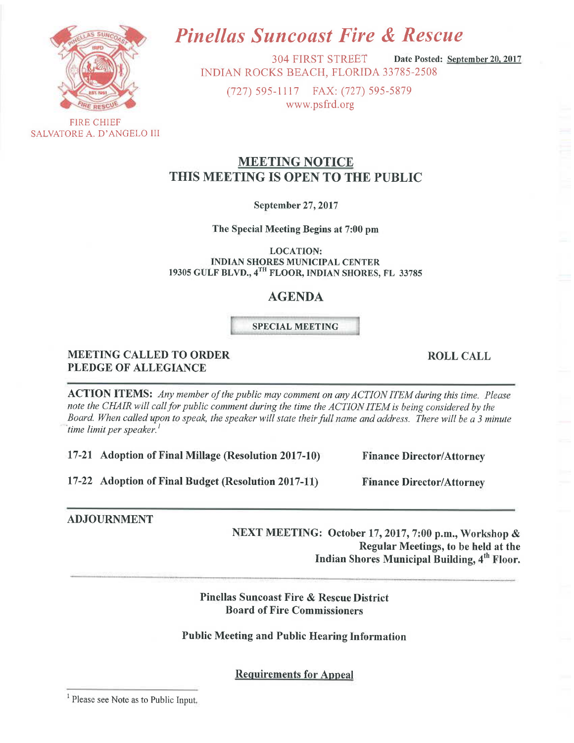

SALVATORE A. D'ANGELO III

# **Pinellas Suncoast Fire & Rescue**

**304 FIRST STREET** Date Posted: September 20, 2017 INDIAN ROCKS BEACH, FLORIDA 33785-2508

(727) 595-1117 FAX: (727) 595-5879 www.psfrd.org

# **MEETING NOTICE** THIS MEETING IS OPEN TO THE PUBLIC

**September 27, 2017** 

The Special Meeting Begins at 7:00 pm

**LOCATION: INDIAN SHORES MUNICIPAL CENTER** 19305 GULF BLVD., 4TH FLOOR, INDIAN SHORES, FL 33785

## **AGENDA**

## **SPECIAL MEETING**

## **MEETING CALLED TO ORDER PLEDGE OF ALLEGIANCE**

**ACTION ITEMS:** Any member of the public may comment on any ACTION ITEM during this time. Please note the CHAIR will call for public comment during the time the ACTION ITEM is being considered by the Board. When called upon to speak, the speaker will state their full name and address. There will be a 3 minute time limit per speaker.

17-21 Adoption of Final Millage (Resolution 2017-10)

17-22 Adoption of Final Budget (Resolution 2017-11)

## **ADJOURNMENT**

NEXT MEETING: October 17, 2017, 7:00 p.m., Workshop & Regular Meetings, to be held at the Indian Shores Municipal Building, 4<sup>th</sup> Floor.

**Pinellas Suncoast Fire & Rescue District Board of Fire Commissioners** 

## **Public Meeting and Public Hearing Information**

**Requirements for Appeal** 

**ROLL CALL** 

**Finance Director/Attorney** 

**Finance Director/Attorney** 

<sup>&</sup>lt;sup>1</sup> Please see Note as to Public Input.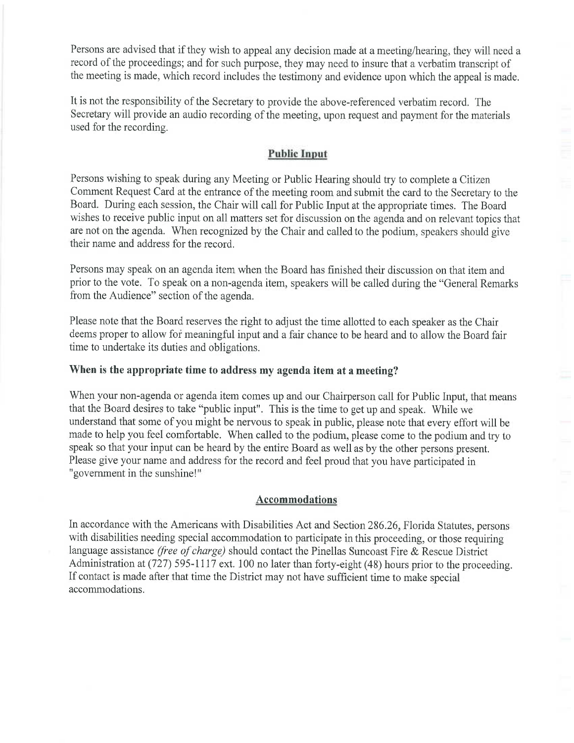Persons are advised that if they wish to appeal any decision made at a meeting/hearing, they will need a record of the proceedings; and for such purpose, they may need to insure that a verbatim transcript of the meeting is made, which record includes the testimony and evidence upon which the appeal is made.

It is not the responsibility of the Secretary to provide the above-referenced verbatim record. The Secretary will provide an audio recording of the meeting, upon request and payment for the materials used for the recording.

## **Public Input**

Persons wishing to speak during any Meeting or Public Hearing should try to complete a Citizen Comment Request Card at the entrance of the meeting room and submit the card to the Secretary to the Board. During each session, the Chair will call for Public Input at the appropriate times. The Board wishes to receive public input on all matters set for discussion on the agenda and on relevant topics that are not on the agenda. When recognized by the Chair and called to the podium, speakers should give their name and address for the record.

Persons may speak on an agenda item when the Board has finished their discussion on that item and prior to the vote. To speak on a non-agenda item, speakers will be called during the "General Remarks" from the Audience" section of the agenda.

Please note that the Board reserves the right to adjust the time allotted to each speaker as the Chair deems proper to allow for meaningful input and a fair chance to be heard and to allow the Board fair time to undertake its duties and obligations.

#### When is the appropriate time to address my agenda item at a meeting?

When your non-agenda or agenda item comes up and our Chairperson call for Public Input, that means that the Board desires to take "public input". This is the time to get up and speak. While we understand that some of you might be nervous to speak in public, please note that every effort will be made to help you feel comfortable. When called to the podium, please come to the podium and try to speak so that your input can be heard by the entire Board as well as by the other persons present. Please give your name and address for the record and feel proud that you have participated in "government in the sunshine!"

#### **Accommodations**

In accordance with the Americans with Disabilities Act and Section 286.26, Florida Statutes, persons with disabilities needing special accommodation to participate in this proceeding, or those requiring language assistance (free of charge) should contact the Pinellas Suncoast Fire & Rescue District Administration at (727) 595-1117 ext. 100 no later than forty-eight (48) hours prior to the proceeding. If contact is made after that time the District may not have sufficient time to make special accommodations.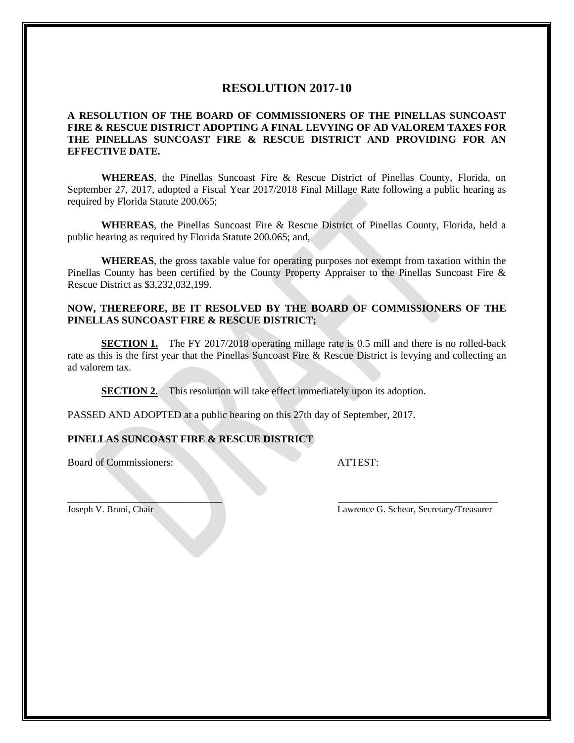## **RESOLUTION 2017-10**

#### **A RESOLUTION OF THE BOARD OF COMMISSIONERS OF THE PINELLAS SUNCOAST FIRE & RESCUE DISTRICT ADOPTING A FINAL LEVYING OF AD VALOREM TAXES FOR THE PINELLAS SUNCOAST FIRE & RESCUE DISTRICT AND PROVIDING FOR AN EFFECTIVE DATE.**

**WHEREAS**, the Pinellas Suncoast Fire & Rescue District of Pinellas County, Florida, on September 27, 2017, adopted a Fiscal Year 2017/2018 Final Millage Rate following a public hearing as required by Florida Statute 200.065;

**WHEREAS**, the Pinellas Suncoast Fire & Rescue District of Pinellas County, Florida, held a public hearing as required by Florida Statute 200.065; and,

**WHEREAS**, the gross taxable value for operating purposes not exempt from taxation within the Pinellas County has been certified by the County Property Appraiser to the Pinellas Suncoast Fire & Rescue District as \$3,232,032,199.

#### **NOW, THEREFORE, BE IT RESOLVED BY THE BOARD OF COMMISSIONERS OF THE PINELLAS SUNCOAST FIRE & RESCUE DISTRICT;**

**SECTION 1.** The FY 2017/2018 operating millage rate is 0.5 mill and there is no rolled-back rate as this is the first year that the Pinellas Suncoast Fire & Rescue District is levying and collecting an ad valorem tax.

 $\_$ 

**SECTION 2.** This resolution will take effect immediately upon its adoption.

PASSED AND ADOPTED at a public hearing on this 27th day of September, 2017.

#### **PINELLAS SUNCOAST FIRE & RESCUE DISTRICT**

Board of Commissioners: ATTEST:

Joseph V. Bruni, Chair Lawrence G. Schear, Secretary/Treasurer